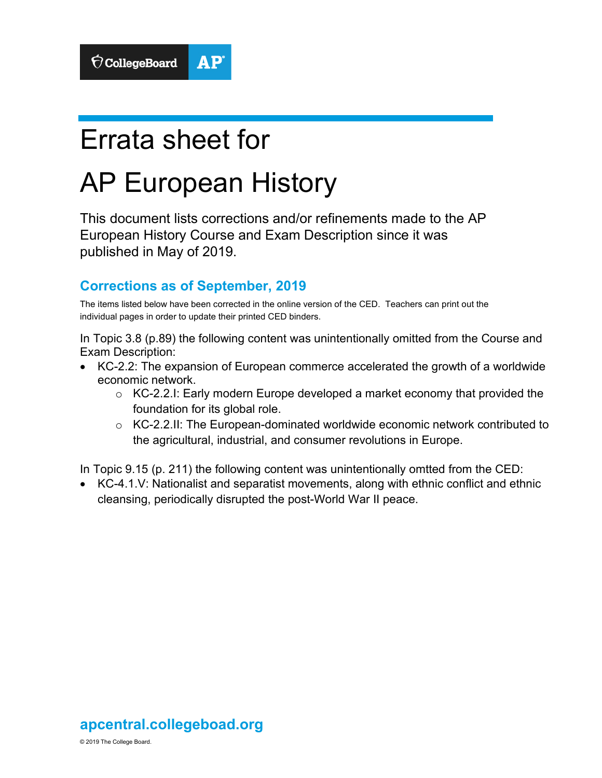# Errata sheet for

# AP European History

This document lists corrections and/or refinements made to the AP European History Course and Exam Description since it was published in May of 2019.

# **Corrections as of September, 2019**

The items listed below have been corrected in the online version of the CED. Teachers can print out the individual pages in order to update their printed CED binders.

In Topic 3.8 (p.89) the following content was unintentionally omitted from the Course and Exam Description:

- KC-2.2: The expansion of European commerce accelerated the growth of a worldwide economic network.
	- $\circ$  KC-2.2.1: Early modern Europe developed a market economy that provided the foundation for its global role.
	- o KC-2.2.II: The European-dominated worldwide economic network contributed to the agricultural, industrial, and consumer revolutions in Europe.

In Topic 9.15 (p. 211) the following content was unintentionally omtted from the CED:

• KC-4.1.V: Nationalist and separatist movements, along with ethnic conflict and ethnic cleansing, periodically disrupted the post-World War II peace.

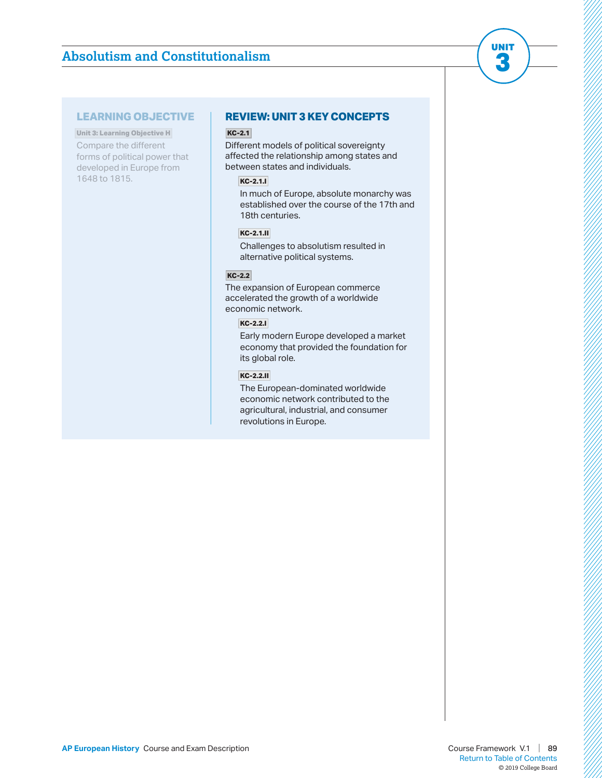# **Absolutism and Constitutionalism**

# **LEARNING OBJECTIVE**

**Unit 3: Learning Objective H**  Compare the different forms of political power that developed in Europe from 1648 to 1815.

# **REVIEW: UNIT 3 KEY CONCEPTS**

# **KC-2.1**

Different models of political sovereignty affected the relationship among states and between states and individuals.

### **KC-2.1.I**

In much of Europe, absolute monarchy was established over the course of the 17th and 18th centuries.

# **KC-2.1.II**

Challenges to absolutism resulted in alternative political systems.

# **KC-2.2**

The expansion of European commerce accelerated the growth of a worldwide economic network.

### **KC-2.2.I**

Early modern Europe developed a market economy that provided the foundation for its global role.

### **KC-2.2.II**

The European-dominated worldwide economic network contributed to the agricultural, industrial, and consumer revolutions in Europe.